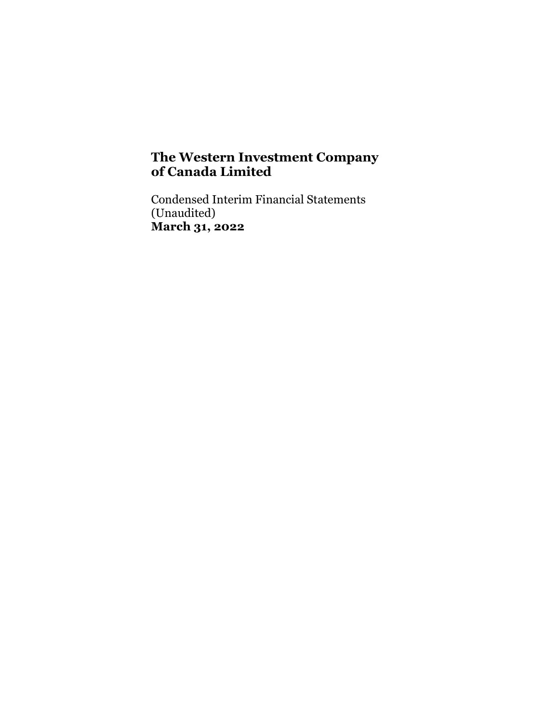Condensed Interim Financial Statements (Unaudited) March 31, 2022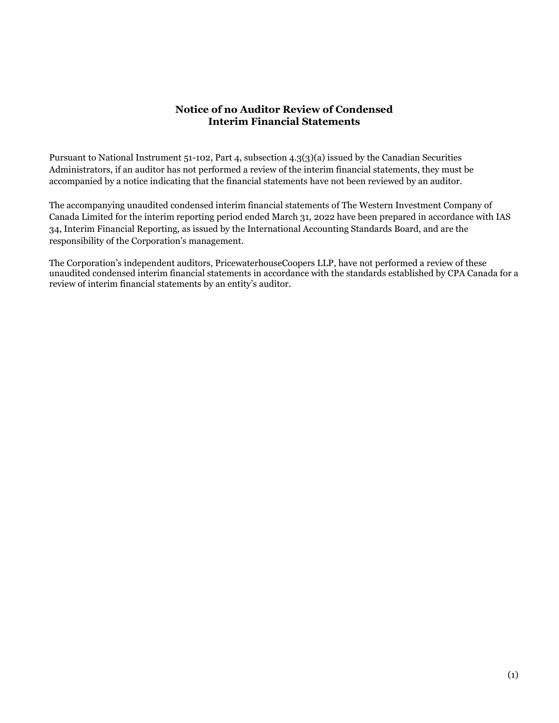## Notice of no Auditor Review of Condensed Interim Financial Statements

Pursuant to National Instrument 51-102, Part 4, subsection 4.3(3)(a) issued by the Canadian Securities Administrators, if an auditor has not performed a review of the interim financial statements, they must be accompanied by a notice indicating that the financial statements have not been reviewed by an auditor.

The accompanying unaudited condensed interim financial statements of The Western Investment Company of Canada Limited for the interim reporting period ended March 31, 2022 have been prepared in accordance with IAS 34, Interim Financial Reporting, as issued by the International Accounting Standards Board, and are the responsibility of the Corporation's management.

The Corporation's independent auditors, PricewaterhouseCoopers LLP, have not performed a review of these unaudited condensed interim financial statements in accordance with the standards established by CPA Canada for a review of interim financial statements by an entity's auditor.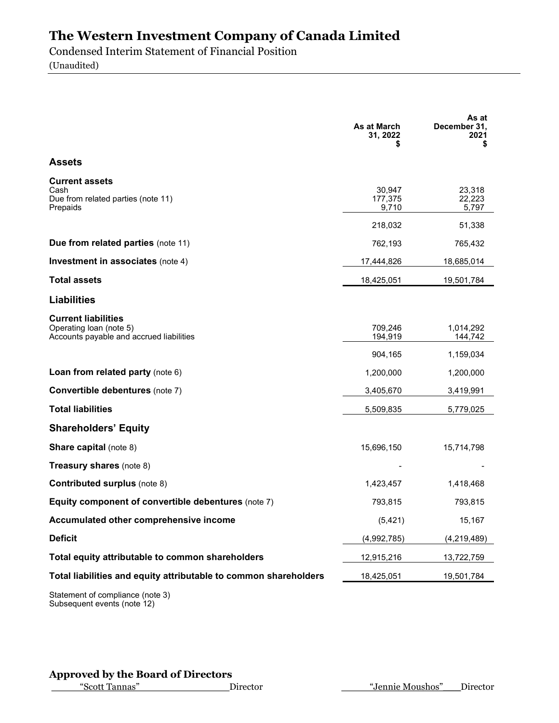Condensed Interim Statement of Financial Position

(Unaudited)

|                                                                                                   | As at March<br>31, 2022    | As at<br>December 31,<br>2021<br>\$ |
|---------------------------------------------------------------------------------------------------|----------------------------|-------------------------------------|
| <b>Assets</b>                                                                                     |                            |                                     |
| <b>Current assets</b><br>Cash<br>Due from related parties (note 11)<br>Prepaids                   | 30,947<br>177,375<br>9,710 | 23,318<br>22,223<br>5,797           |
|                                                                                                   | 218,032                    | 51,338                              |
| Due from related parties (note 11)                                                                | 762,193                    | 765,432                             |
| <b>Investment in associates (note 4)</b>                                                          | 17,444,826                 | 18,685,014                          |
| <b>Total assets</b>                                                                               | 18,425,051                 | 19,501,784                          |
| <b>Liabilities</b>                                                                                |                            |                                     |
| <b>Current liabilities</b><br>Operating loan (note 5)<br>Accounts payable and accrued liabilities | 709,246<br>194,919         | 1,014,292<br>144,742                |
|                                                                                                   | 904,165                    | 1,159,034                           |
| Loan from related party (note 6)                                                                  | 1,200,000                  | 1,200,000                           |
| Convertible debentures (note 7)                                                                   | 3,405,670                  | 3,419,991                           |
| <b>Total liabilities</b>                                                                          | 5,509,835                  | 5,779,025                           |
| <b>Shareholders' Equity</b>                                                                       |                            |                                     |
| <b>Share capital (note 8)</b>                                                                     | 15,696,150                 | 15,714,798                          |
| Treasury shares (note 8)                                                                          |                            |                                     |
| <b>Contributed surplus (note 8)</b>                                                               | 1,423,457                  | 1,418,468                           |
| Equity component of convertible debentures (note 7)                                               | 793,815                    | 793,815                             |
| Accumulated other comprehensive income                                                            | (5, 421)                   | 15,167                              |
| <b>Deficit</b>                                                                                    | (4,992,785)                | (4, 219, 489)                       |
| Total equity attributable to common shareholders                                                  | 12,915,216                 | 13,722,759                          |
| Total liabilities and equity attributable to common shareholders                                  | 18,425,051                 | 19,501,784                          |

Statement of compliance (note 3) Subsequent events (note 12)

## Approved by the Board of Directors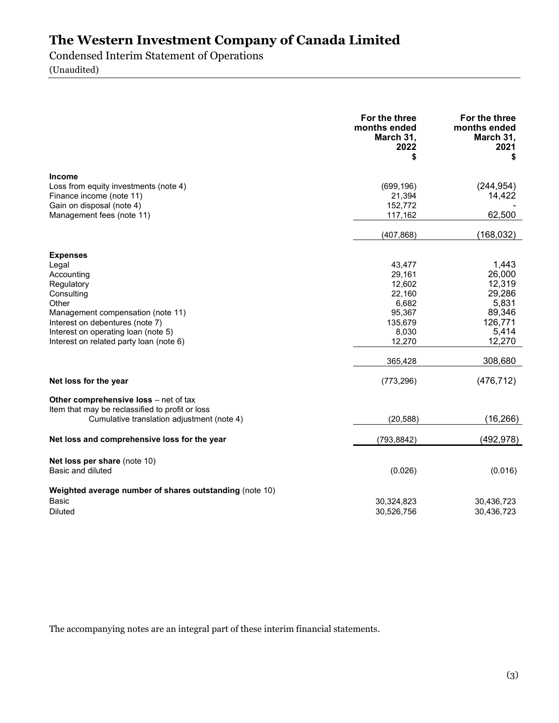Condensed Interim Statement of Operations

(Unaudited)

|                                                                                                                                                                                                                                       | For the three<br>months ended<br>March 31,<br>2022<br>S                               | For the three<br>months ended<br>March 31,<br>2021<br>\$                             |
|---------------------------------------------------------------------------------------------------------------------------------------------------------------------------------------------------------------------------------------|---------------------------------------------------------------------------------------|--------------------------------------------------------------------------------------|
| <b>Income</b><br>Loss from equity investments (note 4)<br>Finance income (note 11)<br>Gain on disposal (note 4)<br>Management fees (note 11)                                                                                          | (699, 196)<br>21,394<br>152,772<br>117,162<br>(407, 868)                              | (244, 954)<br>14,422<br>62,500<br>(168, 032)                                         |
| <b>Expenses</b><br>Legal<br>Accounting<br>Regulatory<br>Consulting<br>Other<br>Management compensation (note 11)<br>Interest on debentures (note 7)<br>Interest on operating loan (note 5)<br>Interest on related party loan (note 6) | 43,477<br>29,161<br>12,602<br>22,160<br>6,682<br>95,367<br>135,679<br>8,030<br>12,270 | 1,443<br>26,000<br>12,319<br>29,286<br>5,831<br>89,346<br>126,771<br>5,414<br>12,270 |
|                                                                                                                                                                                                                                       | 365,428                                                                               | 308,680                                                                              |
| Net loss for the year<br>Other comprehensive loss - net of tax<br>Item that may be reclassified to profit or loss<br>Cumulative translation adjustment (note 4)                                                                       | (773, 296)<br>(20, 588)                                                               | (476, 712)<br>(16, 266)                                                              |
| Net loss and comprehensive loss for the year                                                                                                                                                                                          | (793, 8842)                                                                           | (492, 978)                                                                           |
| Net loss per share (note 10)<br>Basic and diluted                                                                                                                                                                                     | (0.026)                                                                               | (0.016)                                                                              |
| Weighted average number of shares outstanding (note 10)<br>Basic<br><b>Diluted</b>                                                                                                                                                    | 30,324,823<br>30,526,756                                                              | 30,436,723<br>30,436,723                                                             |

The accompanying notes are an integral part of these interim financial statements.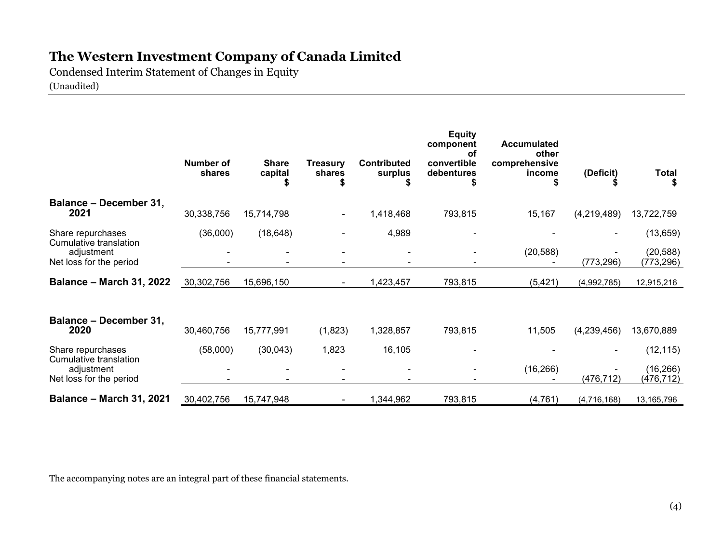Condensed Interim Statement of Changes in Equity (Unaudited)

|                                                                 | <b>Number of</b><br>shares | <b>Share</b><br>capital | Treasury<br>shares | <b>Contributed</b><br>surplus | <b>Equity</b><br>component<br>οf<br>convertible<br>debentures | <b>Accumulated</b><br>other<br>comprehensive<br>income | (Deficit)   | Total                   |
|-----------------------------------------------------------------|----------------------------|-------------------------|--------------------|-------------------------------|---------------------------------------------------------------|--------------------------------------------------------|-------------|-------------------------|
|                                                                 |                            |                         |                    | S                             |                                                               |                                                        |             |                         |
| <b>Balance - December 31,</b><br>2021                           | 30,338,756                 | 15,714,798              |                    | 1,418,468                     | 793,815                                                       | 15,167                                                 | (4,219,489) | 13,722,759              |
| Share repurchases                                               | (36,000)                   | (18, 648)               |                    | 4,989                         |                                                               |                                                        |             | (13, 659)               |
| Cumulative translation<br>adjustment<br>Net loss for the period |                            |                         |                    |                               |                                                               | (20, 588)                                              | (773, 296)  | (20, 588)<br>(773, 296) |
| <b>Balance - March 31, 2022</b>                                 | 30,302,756                 | 15,696,150              |                    | 1,423,457                     | 793,815                                                       | (5, 421)                                               | (4,992,785) | 12,915,216              |
| <b>Balance - December 31,</b><br>2020                           | 30,460,756                 | 15,777,991              | (1,823)            | 1,328,857                     | 793,815                                                       | 11,505                                                 | (4,239,456) | 13,670,889              |
| Share repurchases                                               | (58,000)                   | (30,043)                | 1,823              | 16,105                        |                                                               |                                                        |             | (12, 115)               |
| Cumulative translation<br>adjustment<br>Net loss for the period |                            |                         |                    |                               |                                                               | (16, 266)                                              | (476, 712)  | (16, 266)<br>(476, 712) |
| <b>Balance - March 31, 2021</b>                                 | 30,402,756                 | 15,747,948              |                    | 1,344,962                     | 793,815                                                       | (4, 761)                                               | (4,716,168) | 13,165,796              |

The accompanying notes are an integral part of these financial statements.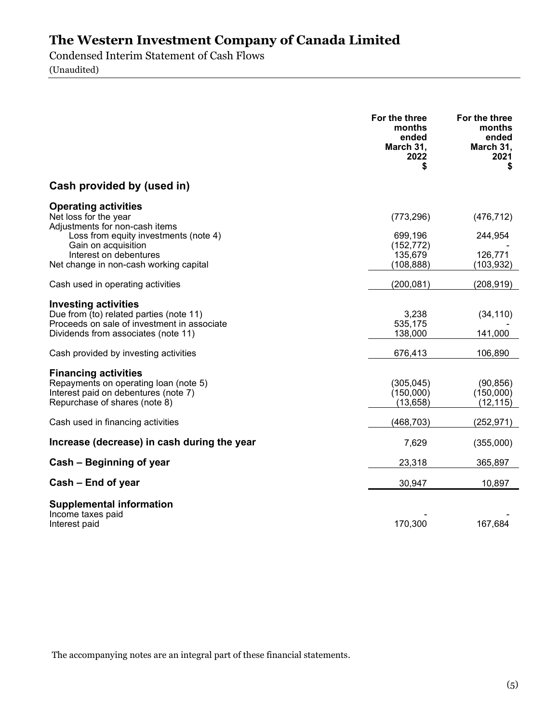Condensed Interim Statement of Cash Flows (Unaudited)

For the three months ended March 31, 2022 \$ For the three months ended March 31, 2021 \$ Cash provided by (used in) Operating activities Net loss for the year (773,296) (476,712) Adjustments for non-cash items Loss from equity investments (note 4) 699,196 244,954 Gain on acquisition and the control of the control of the control of the control of the control of the control of the control of the control of the control of the control of the control of the control of the control of the Interest on debentures **135,679** 126,879 Net change in non-cash working capital (108,888) (103,932) Cash used in operating activities (200,081) (208,919) Investing activities Due from  $\overline{I}$  (to) related parties (note 11)  $3,238$   $(34,110)$ Proceeds on sale of investment in associate 535,175 535,175 535,175 535,175 Ferrich States on sale of investment in associate 535,175 555,175 555,175 555,175 555,175 555,175 555,175 555,175 555,175 555,175 555,175 555,175 Dividends from associates (note 11) Cash provided by investing activities 676,413 106,890 Financing activities Repayments on operating loan (note 5) (305,045) (90,856)<br>Interest paid on debentures (note 7) (150,000) (150,000) Interest paid on debentures (note 7) (150,000) (150,000) (150,000) (150,000) (150,000) Repurchase of shares (note 8) Cash used in financing activities (468,703) (252,971) Increase (decrease) in cash during the year 7,629 (355,000) Cash – Beginning of year 23,318 365,897  $Cash - End of year$   $30,947$   $10,897$ Supplemental information - Income taxes paid<br>Interest paid 170,300 167,684 Interest paid

The accompanying notes are an integral part of these financial statements.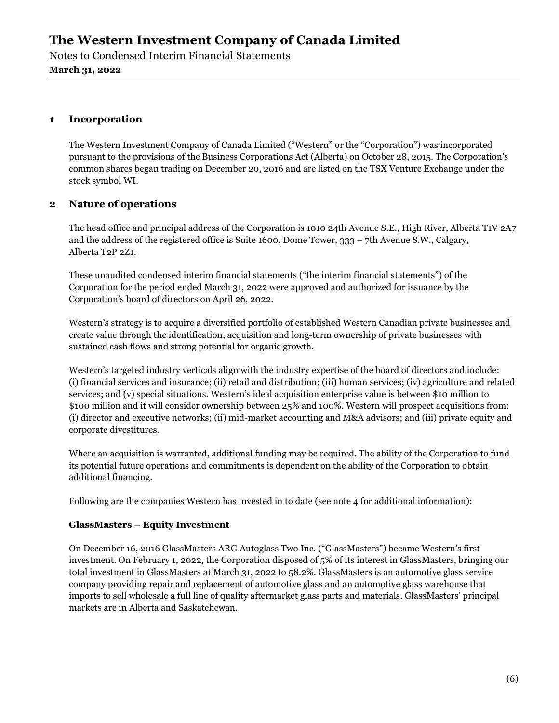Notes to Condensed Interim Financial Statements March 31, 2022

## 1 Incorporation

The Western Investment Company of Canada Limited ("Western" or the "Corporation") was incorporated pursuant to the provisions of the Business Corporations Act (Alberta) on October 28, 2015. The Corporation's common shares began trading on December 20, 2016 and are listed on the TSX Venture Exchange under the stock symbol WI.

## 2 Nature of operations

The head office and principal address of the Corporation is 1010 24th Avenue S.E., High River, Alberta T1V 2A7 and the address of the registered office is Suite 1600, Dome Tower, 333 – 7th Avenue S.W., Calgary, Alberta T2P 2Z1.

These unaudited condensed interim financial statements ("the interim financial statements") of the Corporation for the period ended March 31, 2022 were approved and authorized for issuance by the Corporation's board of directors on April 26, 2022.

Western's strategy is to acquire a diversified portfolio of established Western Canadian private businesses and create value through the identification, acquisition and long-term ownership of private businesses with sustained cash flows and strong potential for organic growth.

Western's targeted industry verticals align with the industry expertise of the board of directors and include: (i) financial services and insurance; (ii) retail and distribution; (iii) human services; (iv) agriculture and related services; and (v) special situations. Western's ideal acquisition enterprise value is between \$10 million to \$100 million and it will consider ownership between 25% and 100%. Western will prospect acquisitions from: (i) director and executive networks; (ii) mid-market accounting and M&A advisors; and (iii) private equity and corporate divestitures.

Where an acquisition is warranted, additional funding may be required. The ability of the Corporation to fund its potential future operations and commitments is dependent on the ability of the Corporation to obtain additional financing.

Following are the companies Western has invested in to date (see note 4 for additional information):

## GlassMasters – Equity Investment

On December 16, 2016 GlassMasters ARG Autoglass Two Inc. ("GlassMasters") became Western's first investment. On February 1, 2022, the Corporation disposed of 5% of its interest in GlassMasters, bringing our total investment in GlassMasters at March 31, 2022 to 58.2%. GlassMasters is an automotive glass service company providing repair and replacement of automotive glass and an automotive glass warehouse that imports to sell wholesale a full line of quality aftermarket glass parts and materials. GlassMasters' principal markets are in Alberta and Saskatchewan.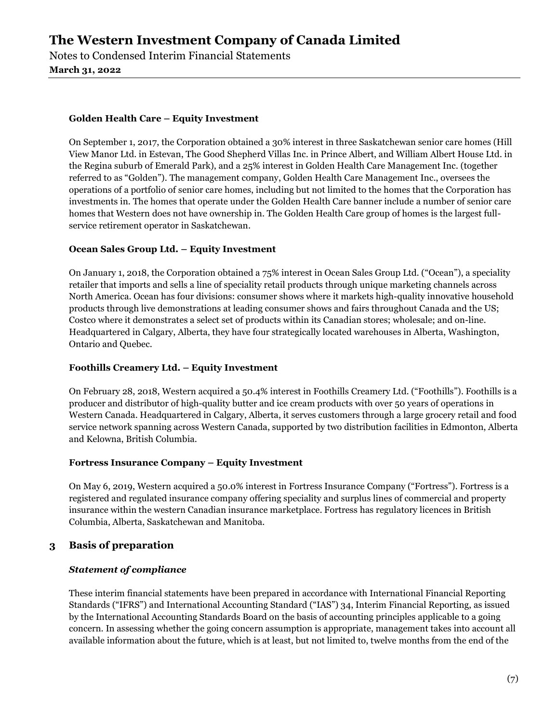Notes to Condensed Interim Financial Statements March 31, 2022

#### Golden Health Care – Equity Investment

On September 1, 2017, the Corporation obtained a 30% interest in three Saskatchewan senior care homes (Hill View Manor Ltd. in Estevan, The Good Shepherd Villas Inc. in Prince Albert, and William Albert House Ltd. in the Regina suburb of Emerald Park), and a 25% interest in Golden Health Care Management Inc. (together referred to as "Golden"). The management company, Golden Health Care Management Inc., oversees the operations of a portfolio of senior care homes, including but not limited to the homes that the Corporation has investments in. The homes that operate under the Golden Health Care banner include a number of senior care homes that Western does not have ownership in. The Golden Health Care group of homes is the largest fullservice retirement operator in Saskatchewan.

### Ocean Sales Group Ltd. – Equity Investment

On January 1, 2018, the Corporation obtained a 75% interest in Ocean Sales Group Ltd. ("Ocean"), a speciality retailer that imports and sells a line of speciality retail products through unique marketing channels across North America. Ocean has four divisions: consumer shows where it markets high-quality innovative household products through live demonstrations at leading consumer shows and fairs throughout Canada and the US; Costco where it demonstrates a select set of products within its Canadian stores; wholesale; and on-line. Headquartered in Calgary, Alberta, they have four strategically located warehouses in Alberta, Washington, Ontario and Quebec.

#### Foothills Creamery Ltd. – Equity Investment

On February 28, 2018, Western acquired a 50.4% interest in Foothills Creamery Ltd. ("Foothills"). Foothills is a producer and distributor of high-quality butter and ice cream products with over 50 years of operations in Western Canada. Headquartered in Calgary, Alberta, it serves customers through a large grocery retail and food service network spanning across Western Canada, supported by two distribution facilities in Edmonton, Alberta and Kelowna, British Columbia.

#### Fortress Insurance Company – Equity Investment

On May 6, 2019, Western acquired a 50.0% interest in Fortress Insurance Company ("Fortress"). Fortress is a registered and regulated insurance company offering speciality and surplus lines of commercial and property insurance within the western Canadian insurance marketplace. Fortress has regulatory licences in British Columbia, Alberta, Saskatchewan and Manitoba.

## 3 Basis of preparation

#### Statement of compliance

These interim financial statements have been prepared in accordance with International Financial Reporting Standards ("IFRS") and International Accounting Standard ("IAS") 34, Interim Financial Reporting, as issued by the International Accounting Standards Board on the basis of accounting principles applicable to a going concern. In assessing whether the going concern assumption is appropriate, management takes into account all available information about the future, which is at least, but not limited to, twelve months from the end of the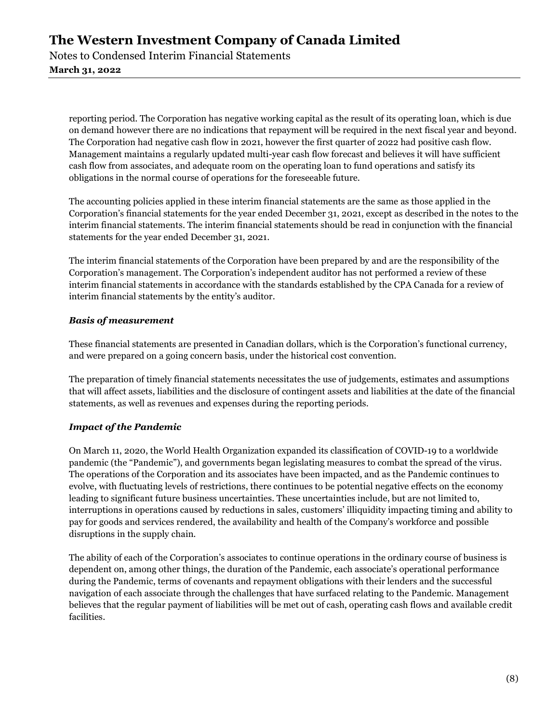Notes to Condensed Interim Financial Statements March 31, 2022

reporting period. The Corporation has negative working capital as the result of its operating loan, which is due on demand however there are no indications that repayment will be required in the next fiscal year and beyond. The Corporation had negative cash flow in 2021, however the first quarter of 2022 had positive cash flow. Management maintains a regularly updated multi-year cash flow forecast and believes it will have sufficient cash flow from associates, and adequate room on the operating loan to fund operations and satisfy its obligations in the normal course of operations for the foreseeable future.

The accounting policies applied in these interim financial statements are the same as those applied in the Corporation's financial statements for the year ended December 31, 2021, except as described in the notes to the interim financial statements. The interim financial statements should be read in conjunction with the financial statements for the year ended December 31, 2021.

The interim financial statements of the Corporation have been prepared by and are the responsibility of the Corporation's management. The Corporation's independent auditor has not performed a review of these interim financial statements in accordance with the standards established by the CPA Canada for a review of interim financial statements by the entity's auditor.

### Basis of measurement

These financial statements are presented in Canadian dollars, which is the Corporation's functional currency, and were prepared on a going concern basis, under the historical cost convention.

The preparation of timely financial statements necessitates the use of judgements, estimates and assumptions that will affect assets, liabilities and the disclosure of contingent assets and liabilities at the date of the financial statements, as well as revenues and expenses during the reporting periods.

## Impact of the Pandemic

On March 11, 2020, the World Health Organization expanded its classification of COVID-19 to a worldwide pandemic (the "Pandemic"), and governments began legislating measures to combat the spread of the virus. The operations of the Corporation and its associates have been impacted, and as the Pandemic continues to evolve, with fluctuating levels of restrictions, there continues to be potential negative effects on the economy leading to significant future business uncertainties. These uncertainties include, but are not limited to, interruptions in operations caused by reductions in sales, customers' illiquidity impacting timing and ability to pay for goods and services rendered, the availability and health of the Company's workforce and possible disruptions in the supply chain.

The ability of each of the Corporation's associates to continue operations in the ordinary course of business is dependent on, among other things, the duration of the Pandemic, each associate's operational performance during the Pandemic, terms of covenants and repayment obligations with their lenders and the successful navigation of each associate through the challenges that have surfaced relating to the Pandemic. Management believes that the regular payment of liabilities will be met out of cash, operating cash flows and available credit facilities.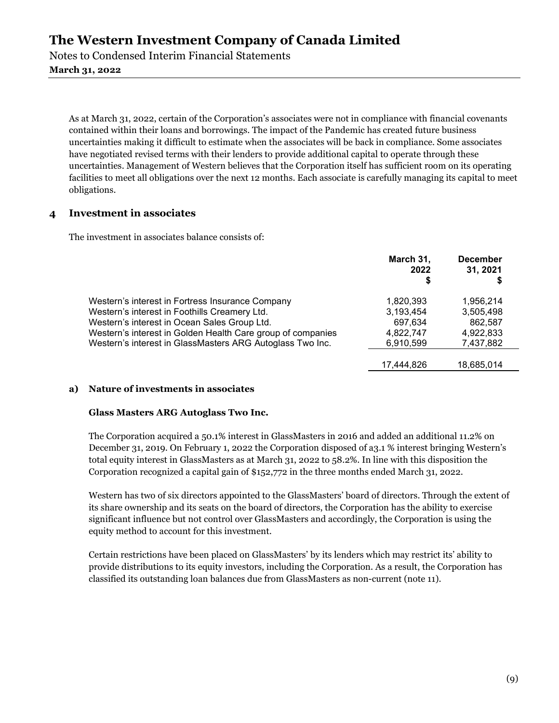Notes to Condensed Interim Financial Statements March 31, 2022

As at March 31, 2022, certain of the Corporation's associates were not in compliance with financial covenants contained within their loans and borrowings. The impact of the Pandemic has created future business uncertainties making it difficult to estimate when the associates will be back in compliance. Some associates have negotiated revised terms with their lenders to provide additional capital to operate through these uncertainties. Management of Western believes that the Corporation itself has sufficient room on its operating facilities to meet all obligations over the next 12 months. Each associate is carefully managing its capital to meet obligations.

### 4 Investment in associates

The investment in associates balance consists of:

|                                                             | March 31,<br>2022<br>\$ | <b>December</b><br>31, 2021 |
|-------------------------------------------------------------|-------------------------|-----------------------------|
| Western's interest in Fortress Insurance Company            | 1,820,393               | 1,956,214                   |
| Western's interest in Foothills Creamery Ltd.               | 3,193,454               | 3,505,498                   |
| Western's interest in Ocean Sales Group Ltd.                | 697,634                 | 862.587                     |
| Western's interest in Golden Health Care group of companies | 4.822.747               | 4,922,833                   |
| Western's interest in GlassMasters ARG Autoglass Two Inc.   | 6,910,599               | 7,437,882                   |
|                                                             |                         |                             |
|                                                             | 17.444.826              | 18,685,014                  |

#### a) Nature of investments in associates

#### Glass Masters ARG Autoglass Two Inc.

The Corporation acquired a 50.1% interest in GlassMasters in 2016 and added an additional 11.2% on December 31, 2019. On February 1, 2022 the Corporation disposed of a3.1 % interest bringing Western's total equity interest in GlassMasters as at March 31, 2022 to 58.2%. In line with this disposition the Corporation recognized a capital gain of \$152,772 in the three months ended March 31, 2022.

Western has two of six directors appointed to the GlassMasters' board of directors. Through the extent of its share ownership and its seats on the board of directors, the Corporation has the ability to exercise significant influence but not control over GlassMasters and accordingly, the Corporation is using the equity method to account for this investment.

Certain restrictions have been placed on GlassMasters' by its lenders which may restrict its' ability to provide distributions to its equity investors, including the Corporation. As a result, the Corporation has classified its outstanding loan balances due from GlassMasters as non-current (note 11).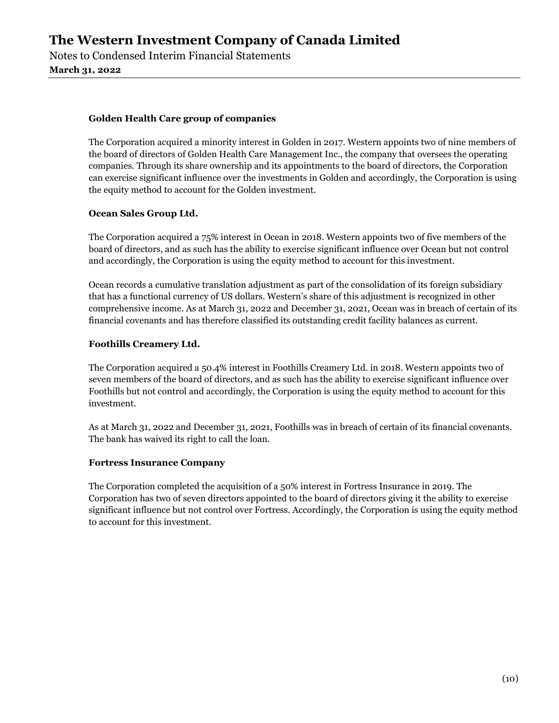Notes to Condensed Interim Financial Statements March 31, 2022

#### Golden Health Care group of companies

The Corporation acquired a minority interest in Golden in 2017. Western appoints two of nine members of the board of directors of Golden Health Care Management Inc., the company that oversees the operating companies. Through its share ownership and its appointments to the board of directors, the Corporation can exercise significant influence over the investments in Golden and accordingly, the Corporation is using the equity method to account for the Golden investment.

### Ocean Sales Group Ltd.

The Corporation acquired a 75% interest in Ocean in 2018. Western appoints two of five members of the board of directors, and as such has the ability to exercise significant influence over Ocean but not control and accordingly, the Corporation is using the equity method to account for this investment.

Ocean records a cumulative translation adjustment as part of the consolidation of its foreign subsidiary that has a functional currency of US dollars. Western's share of this adjustment is recognized in other comprehensive income. As at March 31, 2022 and December 31, 2021, Ocean was in breach of certain of its financial covenants and has therefore classified its outstanding credit facility balances as current.

## Foothills Creamery Ltd.

The Corporation acquired a 50.4% interest in Foothills Creamery Ltd. in 2018. Western appoints two of seven members of the board of directors, and as such has the ability to exercise significant influence over Foothills but not control and accordingly, the Corporation is using the equity method to account for this investment.

As at March 31, 2022 and December 31, 2021, Foothills was in breach of certain of its financial covenants. The bank has waived its right to call the loan.

#### Fortress Insurance Company

The Corporation completed the acquisition of a 50% interest in Fortress Insurance in 2019. The Corporation has two of seven directors appointed to the board of directors giving it the ability to exercise significant influence but not control over Fortress. Accordingly, the Corporation is using the equity method to account for this investment.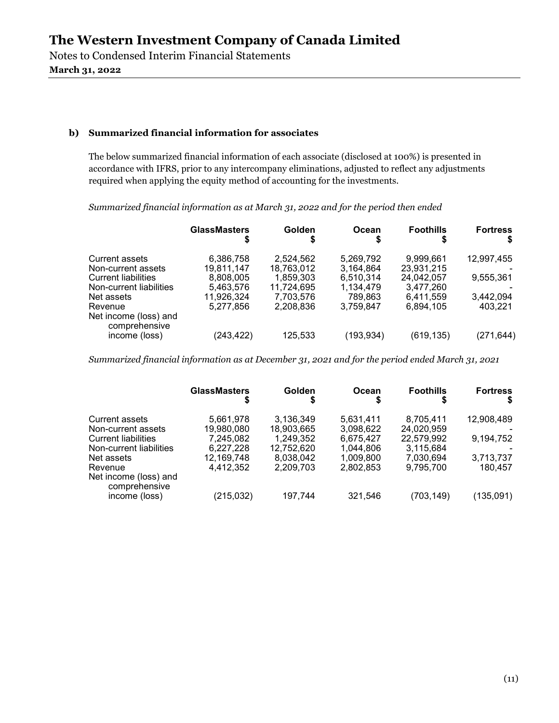Notes to Condensed Interim Financial Statements March 31, 2022

#### b) Summarized financial information for associates

The below summarized financial information of each associate (disclosed at 100%) is presented in accordance with IFRS, prior to any intercompany eliminations, adjusted to reflect any adjustments required when applying the equity method of accounting for the investments.

Summarized financial information as at March 31, 2022 and for the period then ended

|                                        | <b>GlassMasters</b> | Golden     | Ocean      | <b>Foothills</b> | <b>Fortress</b> |
|----------------------------------------|---------------------|------------|------------|------------------|-----------------|
| <b>Current assets</b>                  | 6,386,758           | 2.524.562  | 5,269,792  | 9,999,661        | 12,997,455      |
| Non-current assets                     | 19.811.147          | 18.763.012 | 3.164.864  | 23,931,215       |                 |
| <b>Current liabilities</b>             | 8,808,005           | 1,859,303  | 6,510,314  | 24,042,057       | 9,555,361       |
| Non-current liabilities                | 5.463,576           | 11.724.695 | 1,134,479  | 3,477,260        |                 |
| Net assets                             | 11,926,324          | 7.703.576  | 789.863    | 6.411.559        | 3,442,094       |
| Revenue                                | 5.277.856           | 2.208.836  | 3,759,847  | 6,894,105        | 403.221         |
| Net income (loss) and<br>comprehensive |                     |            |            |                  |                 |
| income (loss)                          | (243, 422)          | 125,533    | (193, 934) | (619, 135)       | (271,644)       |

Summarized financial information as at December 31, 2021 and for the period ended March 31, 2021

| S<br>S<br>S                                                                                                                                                                                                                                                                                                                                                                                                                                                                                                                                                              |                                                              |
|--------------------------------------------------------------------------------------------------------------------------------------------------------------------------------------------------------------------------------------------------------------------------------------------------------------------------------------------------------------------------------------------------------------------------------------------------------------------------------------------------------------------------------------------------------------------------|--------------------------------------------------------------|
| 3.136.349<br>8.705.411<br><b>Current assets</b><br>5.661.978<br>5.631.411<br>19,980,080<br>24.020.959<br>18.903.665<br>3,098,622<br>Non-current assets<br>1,249,352<br>22.579.992<br><b>Current liabilities</b><br>7,245,082<br>6.675.427<br>Non-current liabilities<br>12.752.620<br>3,115,684<br>6,227,228<br>1,044,806<br>7,030,694<br>12,169,748<br>8.038.042<br>1,009,800<br>Net assets<br>4,412,352<br>2,209,703<br>9,795,700<br>2,802,853<br>Revenue<br>Net income (loss) and<br>comprehensive<br>(215, 032)<br>(703, 149)<br>321,546<br>197,744<br>income (loss) | 12,908,489<br>9,194,752<br>3,713,737<br>180,457<br>(135,091) |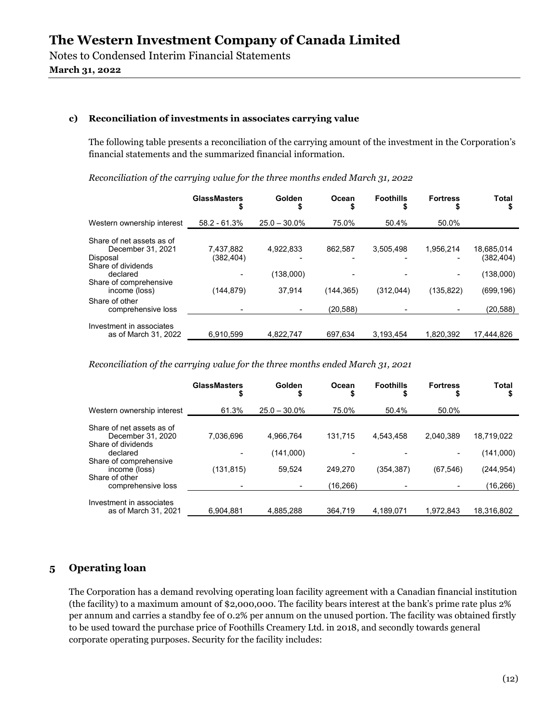Notes to Condensed Interim Financial Statements March 31, 2022

#### c) Reconciliation of investments in associates carrying value

The following table presents a reconciliation of the carrying amount of the investment in the Corporation's financial statements and the summarized financial information.

Reconciliation of the carrying value for the three months ended March 31, 2022

|                                                                                                                                         | <b>GlassMasters</b><br>\$             | Golden<br>S                      | Ocean<br>S            | <b>Foothills</b>       | <b>Fortress</b>             | <b>Total</b>                                      |
|-----------------------------------------------------------------------------------------------------------------------------------------|---------------------------------------|----------------------------------|-----------------------|------------------------|-----------------------------|---------------------------------------------------|
| Western ownership interest                                                                                                              | $58.2 - 61.3%$                        | $25.0 - 30.0\%$                  | 75.0%                 | 50.4%                  | 50.0%                       |                                                   |
| Share of net assets as of<br>December 31, 2021<br>Disposal<br>Share of dividends<br>declared<br>Share of comprehensive<br>income (loss) | 7,437,882<br>(382, 404)<br>(144, 879) | 4.922.833<br>(138,000)<br>37.914 | 862.587<br>(144, 365) | 3,505,498<br>(312,044) | 1.956.214<br>٠<br>(135,822) | 18,685,014<br>(382,404)<br>(138,000)<br>(699,196) |
| Share of other<br>comprehensive loss                                                                                                    |                                       |                                  | (20, 588)             |                        |                             | (20, 588)                                         |
| Investment in associates<br>as of March 31, 2022                                                                                        | 6.910.599                             | 4,822,747                        | 697.634               | 3.193.454              | 1.820.392                   | 17.444.826                                        |

Reconciliation of the carrying value for the three months ended March 31, 2021

|                                                                                  | <b>GlassMasters</b><br>Ф | Golden                 | Ocean<br>\$         | <b>Foothills</b> | <b>Fortress</b><br>S | Total                              |
|----------------------------------------------------------------------------------|--------------------------|------------------------|---------------------|------------------|----------------------|------------------------------------|
| Western ownership interest                                                       | 61.3%                    | $25.0 - 30.0\%$        | 75.0%               | 50.4%            | 50.0%                |                                    |
| Share of net assets as of<br>December 31, 2020<br>Share of dividends<br>declared | 7.036.696                | 4,966,764<br>(141,000) | 131.715             | 4.543.458        | 2.040.389            | 18.719.022                         |
| Share of comprehensive<br>income (loss)<br>Share of other<br>comprehensive loss  | (131, 815)               | 59.524                 | 249.270<br>(16.266) | (354, 387)       | (67, 546)            | (141,000)<br>(244,954)<br>(16,266) |
| Investment in associates<br>as of March 31, 2021                                 | 6.904.881                | 4,885,288              | 364.719             | 4,189,071        | 1,972,843            | 18.316.802                         |

## 5 Operating loan

The Corporation has a demand revolving operating loan facility agreement with a Canadian financial institution (the facility) to a maximum amount of \$2,000,000. The facility bears interest at the bank's prime rate plus 2% per annum and carries a standby fee of 0.2% per annum on the unused portion. The facility was obtained firstly to be used toward the purchase price of Foothills Creamery Ltd. in 2018, and secondly towards general corporate operating purposes. Security for the facility includes: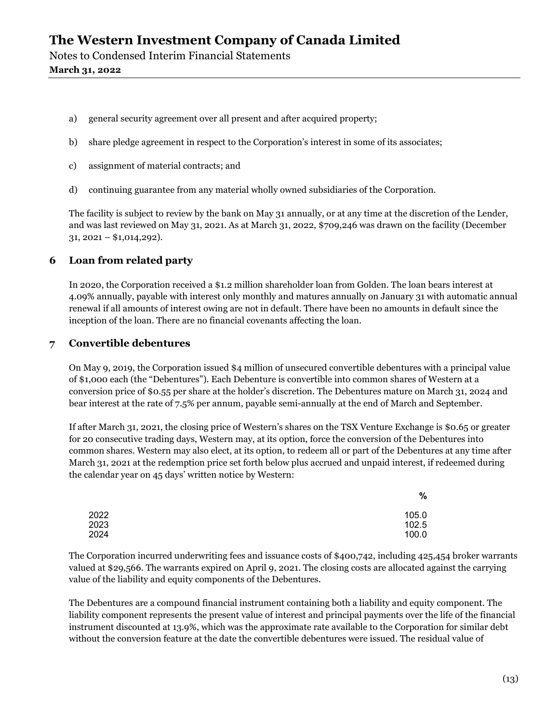Notes to Condensed Interim Financial Statements March 31, 2022

- a) general security agreement over all present and after acquired property;
- b) share pledge agreement in respect to the Corporation's interest in some of its associates;
- c) assignment of material contracts; and
- d) continuing guarantee from any material wholly owned subsidiaries of the Corporation.

The facility is subject to review by the bank on May 31 annually, or at any time at the discretion of the Lender, and was last reviewed on May 31, 2021. As at March 31, 2022, \$709,246 was drawn on the facility (December  $31, 2021 - $1,014,292$ ).

### 6 Loan from related party

In 2020, the Corporation received a \$1.2 million shareholder loan from Golden. The loan bears interest at 4.09% annually, payable with interest only monthly and matures annually on January 31 with automatic annual renewal if all amounts of interest owing are not in default. There have been no amounts in default since the inception of the loan. There are no financial covenants affecting the loan.

### 7 Convertible debentures

On May 9, 2019, the Corporation issued \$4 million of unsecured convertible debentures with a principal value of \$1,000 each (the "Debentures"). Each Debenture is convertible into common shares of Western at a conversion price of \$0.55 per share at the holder's discretion. The Debentures mature on March 31, 2024 and bear interest at the rate of 7.5% per annum, payable semi-annually at the end of March and September.

If after March 31, 2021, the closing price of Western's shares on the TSX Venture Exchange is \$0.65 or greater for 20 consecutive trading days, Western may, at its option, force the conversion of the Debentures into common shares. Western may also elect, at its option, to redeem all or part of the Debentures at any time after March 31, 2021 at the redemption price set forth below plus accrued and unpaid interest, if redeemed during the calendar year on 45 days' written notice by Western:

|      | %     |
|------|-------|
| 2022 | 105.0 |
| 2023 | 102.5 |
| 2024 | 100.0 |

The Corporation incurred underwriting fees and issuance costs of \$400,742, including 425,454 broker warrants valued at \$29,566. The warrants expired on April 9, 2021. The closing costs are allocated against the carrying value of the liability and equity components of the Debentures.

The Debentures are a compound financial instrument containing both a liability and equity component. The liability component represents the present value of interest and principal payments over the life of the financial instrument discounted at 13.9%, which was the approximate rate available to the Corporation for similar debt without the conversion feature at the date the convertible debentures were issued. The residual value of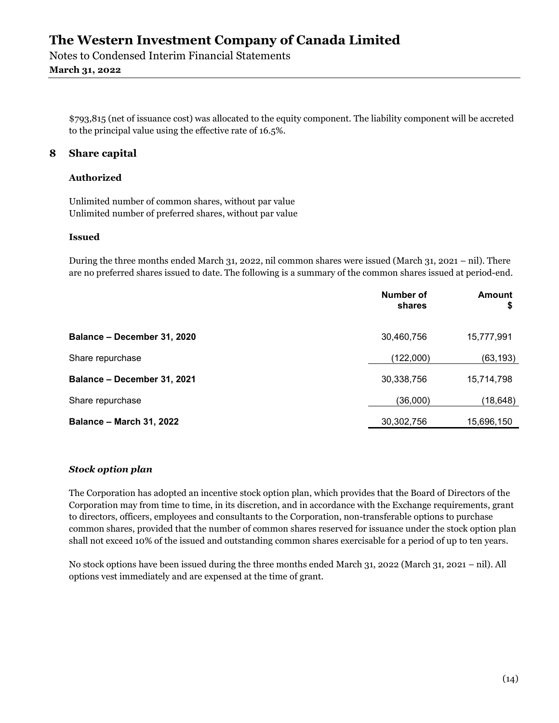Notes to Condensed Interim Financial Statements March 31, 2022

\$793,815 (net of issuance cost) was allocated to the equity component. The liability component will be accreted to the principal value using the effective rate of 16.5%.

## 8 Share capital

#### Authorized

Unlimited number of common shares, without par value Unlimited number of preferred shares, without par value

#### Issued

During the three months ended March 31, 2022, nil common shares were issued (March 31, 2021 – nil). There are no preferred shares issued to date. The following is a summary of the common shares issued at period-end.

|                                 | Number of<br>shares | <b>Amount</b><br>\$ |
|---------------------------------|---------------------|---------------------|
| Balance - December 31, 2020     | 30,460,756          | 15,777,991          |
| Share repurchase                | (122,000)           | (63, 193)           |
| Balance - December 31, 2021     | 30,338,756          | 15,714,798          |
| Share repurchase                | (36,000)            | (18, 648)           |
| <b>Balance - March 31, 2022</b> | 30,302,756          | 15,696,150          |
|                                 |                     |                     |

#### Stock option plan

The Corporation has adopted an incentive stock option plan, which provides that the Board of Directors of the Corporation may from time to time, in its discretion, and in accordance with the Exchange requirements, grant to directors, officers, employees and consultants to the Corporation, non-transferable options to purchase common shares, provided that the number of common shares reserved for issuance under the stock option plan shall not exceed 10% of the issued and outstanding common shares exercisable for a period of up to ten years.

No stock options have been issued during the three months ended March 31, 2022 (March 31, 2021 – nil). All options vest immediately and are expensed at the time of grant.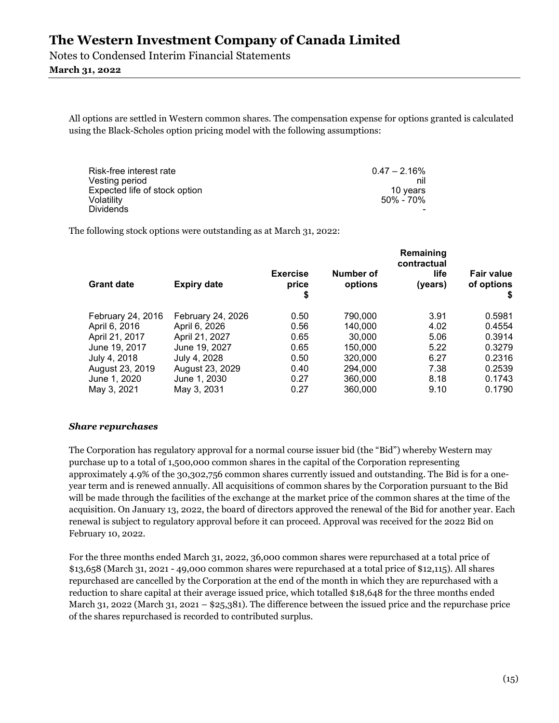Notes to Condensed Interim Financial Statements

## March 31, 2022

All options are settled in Western common shares. The compensation expense for options granted is calculated using the Black-Scholes option pricing model with the following assumptions:

| Risk-free interest rate       | $0.47 - 2.16\%$ |
|-------------------------------|-----------------|
| Vesting period                | nil             |
| Expected life of stock option | 10 years        |
| Volatility                    | 50% - 70%       |
| <b>Dividends</b>              |                 |

The following stock options were outstanding as at March 31, 2022:

|                   |                    |                                |                      | Remaining<br>contractual |                                 |
|-------------------|--------------------|--------------------------------|----------------------|--------------------------|---------------------------------|
| <b>Grant date</b> | <b>Expiry date</b> | <b>Exercise</b><br>price<br>\$ | Number of<br>options | life<br>(years)          | <b>Fair value</b><br>of options |
| February 24, 2016 | February 24, 2026  | 0.50                           | 790,000              | 3.91                     | 0.5981                          |
| April 6, 2016     | April 6, 2026      | 0.56                           | 140,000              | 4.02                     | 0.4554                          |
| April 21, 2017    | April 21, 2027     | 0.65                           | 30,000               | 5.06                     | 0.3914                          |
| June 19, 2017     | June 19, 2027      | 0.65                           | 150,000              | 5.22                     | 0.3279                          |
| July 4, 2018      | July 4, 2028       | 0.50                           | 320,000              | 6.27                     | 0.2316                          |
| August 23, 2019   | August 23, 2029    | 0.40                           | 294.000              | 7.38                     | 0.2539                          |
| June 1, 2020      | June 1, 2030       | 0.27                           | 360,000              | 8.18                     | 0.1743                          |
| May 3, 2021       | May 3, 2031        | 0.27                           | 360,000              | 9.10                     | 0.1790                          |

#### Share repurchases

The Corporation has regulatory approval for a normal course issuer bid (the "Bid") whereby Western may purchase up to a total of 1,500,000 common shares in the capital of the Corporation representing approximately 4.9% of the 30,302,756 common shares currently issued and outstanding. The Bid is for a oneyear term and is renewed annually. All acquisitions of common shares by the Corporation pursuant to the Bid will be made through the facilities of the exchange at the market price of the common shares at the time of the acquisition. On January 13, 2022, the board of directors approved the renewal of the Bid for another year. Each renewal is subject to regulatory approval before it can proceed. Approval was received for the 2022 Bid on February 10, 2022.

For the three months ended March 31, 2022, 36,000 common shares were repurchased at a total price of \$13,658 (March 31, 2021 - 49,000 common shares were repurchased at a total price of \$12,115). All shares repurchased are cancelled by the Corporation at the end of the month in which they are repurchased with a reduction to share capital at their average issued price, which totalled \$18,648 for the three months ended March 31, 2022 (March 31, 2021 – \$25,381). The difference between the issued price and the repurchase price of the shares repurchased is recorded to contributed surplus.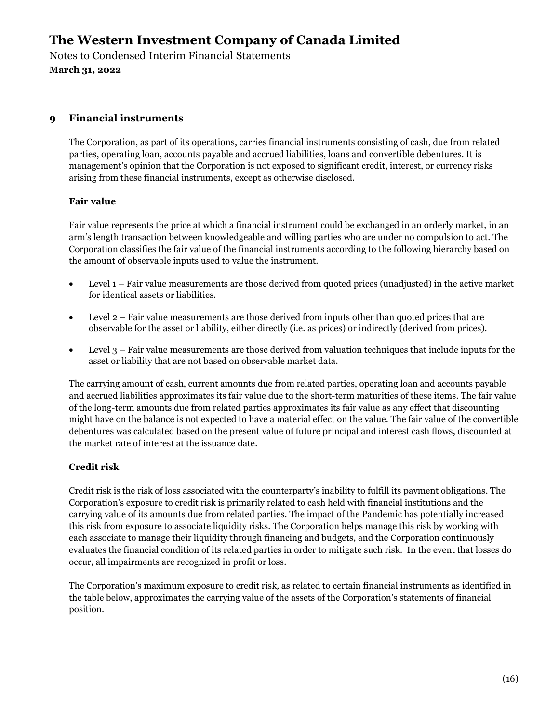Notes to Condensed Interim Financial Statements March 31, 2022

## 9 Financial instruments

The Corporation, as part of its operations, carries financial instruments consisting of cash, due from related parties, operating loan, accounts payable and accrued liabilities, loans and convertible debentures. It is management's opinion that the Corporation is not exposed to significant credit, interest, or currency risks arising from these financial instruments, except as otherwise disclosed.

### Fair value

Fair value represents the price at which a financial instrument could be exchanged in an orderly market, in an arm's length transaction between knowledgeable and willing parties who are under no compulsion to act. The Corporation classifies the fair value of the financial instruments according to the following hierarchy based on the amount of observable inputs used to value the instrument.

- Level 1 Fair value measurements are those derived from quoted prices (unadjusted) in the active market for identical assets or liabilities.
- Level 2 Fair value measurements are those derived from inputs other than quoted prices that are observable for the asset or liability, either directly (i.e. as prices) or indirectly (derived from prices).
- Level 3 Fair value measurements are those derived from valuation techniques that include inputs for the asset or liability that are not based on observable market data.

The carrying amount of cash, current amounts due from related parties, operating loan and accounts payable and accrued liabilities approximates its fair value due to the short-term maturities of these items. The fair value of the long-term amounts due from related parties approximates its fair value as any effect that discounting might have on the balance is not expected to have a material effect on the value. The fair value of the convertible debentures was calculated based on the present value of future principal and interest cash flows, discounted at the market rate of interest at the issuance date.

## Credit risk

Credit risk is the risk of loss associated with the counterparty's inability to fulfill its payment obligations. The Corporation's exposure to credit risk is primarily related to cash held with financial institutions and the carrying value of its amounts due from related parties. The impact of the Pandemic has potentially increased this risk from exposure to associate liquidity risks. The Corporation helps manage this risk by working with each associate to manage their liquidity through financing and budgets, and the Corporation continuously evaluates the financial condition of its related parties in order to mitigate such risk. In the event that losses do occur, all impairments are recognized in profit or loss.

The Corporation's maximum exposure to credit risk, as related to certain financial instruments as identified in the table below, approximates the carrying value of the assets of the Corporation's statements of financial position.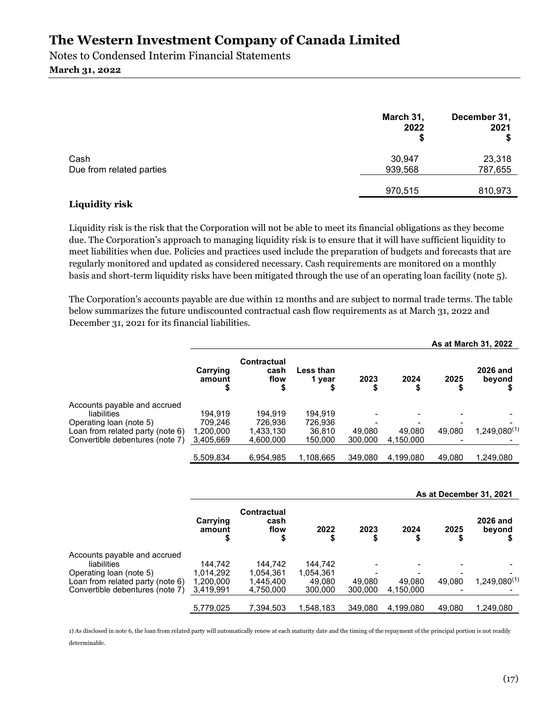Notes to Condensed Interim Financial Statements March 31, 2022

|                                  | March 31,<br>2022<br>S | December 31,<br>2021 |
|----------------------------------|------------------------|----------------------|
| Cash<br>Due from related parties | 30,947<br>939,568      | 23,318<br>787,655    |
|                                  | 970,515                | 810,973              |

#### Liquidity risk

Liquidity risk is the risk that the Corporation will not be able to meet its financial obligations as they become due. The Corporation's approach to managing liquidity risk is to ensure that it will have sufficient liquidity to meet liabilities when due. Policies and practices used include the preparation of budgets and forecasts that are regularly monitored and updated as considered necessary. Cash requirements are monitored on a monthly basis and short-term liquidity risks have been mitigated through the use of an operating loan facility (note 5).

The Corporation's accounts payable are due within 12 months and are subject to normal trade terms. The table below summarizes the future undiscounted contractual cash flow requirements as at March 31, 2022 and December 31, 2021 for its financial liabilities.

|                                  |                          |                                    |                     |            |            |        | As at March 31, 2022      |  |
|----------------------------------|--------------------------|------------------------------------|---------------------|------------|------------|--------|---------------------------|--|
|                                  | Carrying<br>amount<br>\$ | <b>Contractual</b><br>cash<br>flow | Less than<br>1 vear | 2023<br>\$ | 2024<br>\$ | 2025   | <b>2026 and</b><br>beyond |  |
| Accounts payable and accrued     |                          |                                    |                     |            |            |        |                           |  |
| liabilities                      | 194.919                  | 194.919                            | 194.919             |            |            |        |                           |  |
| Operating loan (note 5)          | 709.246                  | 726.936                            | 726.936             |            |            |        |                           |  |
| Loan from related party (note 6) | 1,200,000                | 1,433,130                          | 36.810              | 49.080     | 49.080     | 49.080 | $1,249,080^{(1)}$         |  |
| Convertible debentures (note 7)  | 3,405,669                | 4,600,000                          | 150,000             | 300,000    | 4,150,000  |        |                           |  |
|                                  | 5,509,834                | 6,954,985                          | 1,108,665           | 349,080    | 4,199,080  | 49,080 | 1,249,080                 |  |

#### As at December 31, 2021

|                                  | Carrying<br>amount | Contractual<br>cash<br>flow | 2022      | 2023    | 2024<br>\$ | 2025   | 2026 and<br>beyond |
|----------------------------------|--------------------|-----------------------------|-----------|---------|------------|--------|--------------------|
| Accounts payable and accrued     |                    |                             |           |         |            |        |                    |
| liabilities                      | 144.742            | 144.742                     | 144.742   |         |            |        |                    |
| Operating loan (note 5)          | 1,014,292          | 1.054.361                   | 1,054,361 |         |            |        |                    |
| Loan from related party (note 6) | 1,200,000          | 1.445.400                   | 49.080    | 49.080  | 49.080     | 49.080 | $1,249,080^{(1)}$  |
| Convertible debentures (note 7)  | 3,419,991          | 4,750,000                   | 300,000   | 300.000 | 4,150,000  |        |                    |
|                                  | 5,779,025          | 7.394.503                   | 1.548.183 | 349.080 | 4.199.080  | 49.080 | 1.249.080          |

1) As disclosed in note 6, the loan from related party will automatically renew at each maturity date and the timing of the repayment of the principal portion is not readily determinable.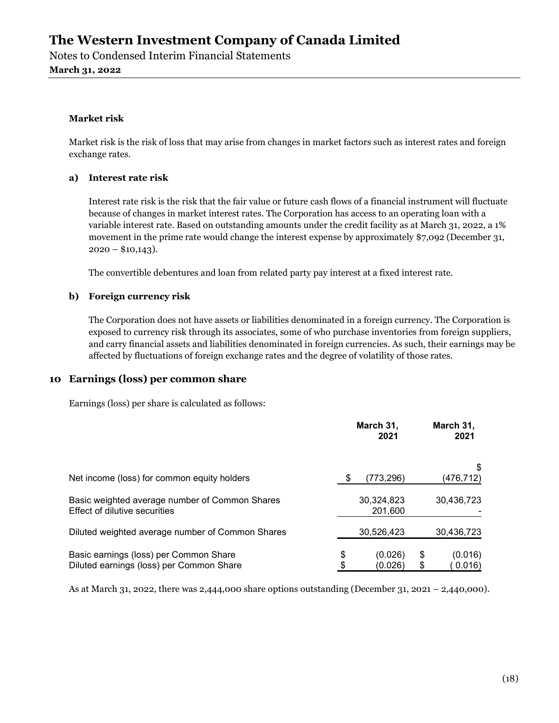Notes to Condensed Interim Financial Statements March 31, 2022

#### Market risk

Market risk is the risk of loss that may arise from changes in market factors such as interest rates and foreign exchange rates.

#### a) Interest rate risk

Interest rate risk is the risk that the fair value or future cash flows of a financial instrument will fluctuate because of changes in market interest rates. The Corporation has access to an operating loan with a variable interest rate. Based on outstanding amounts under the credit facility as at March 31, 2022, a 1% movement in the prime rate would change the interest expense by approximately \$7,092 (December 31,  $2020 - $10,143$ .

The convertible debentures and loan from related party pay interest at a fixed interest rate.

### b) Foreign currency risk

The Corporation does not have assets or liabilities denominated in a foreign currency. The Corporation is exposed to currency risk through its associates, some of who purchase inventories from foreign suppliers, and carry financial assets and liabilities denominated in foreign currencies. As such, their earnings may be affected by fluctuations of foreign exchange rates and the degree of volatility of those rates.

## 10 Earnings (loss) per common share

Earnings (loss) per share is calculated as follows:

|                                                                                    |          | March 31,<br>2021     |    | March 31,<br>2021 |  |
|------------------------------------------------------------------------------------|----------|-----------------------|----|-------------------|--|
| Net income (loss) for common equity holders                                        |          | (773, 296)            |    | (476,712)         |  |
| Basic weighted average number of Common Shares<br>Effect of dilutive securities    |          | 30,324,823<br>201,600 |    | 30,436,723        |  |
| Diluted weighted average number of Common Shares                                   |          | 30,526,423            |    | 30,436,723        |  |
| Basic earnings (loss) per Common Share<br>Diluted earnings (loss) per Common Share | \$<br>\$ | (0.026)<br>(0.026)    | \$ | (0.016)<br>0.016) |  |

As at March 31, 2022, there was 2,444,000 share options outstanding (December 31, 2021 – 2,440,000).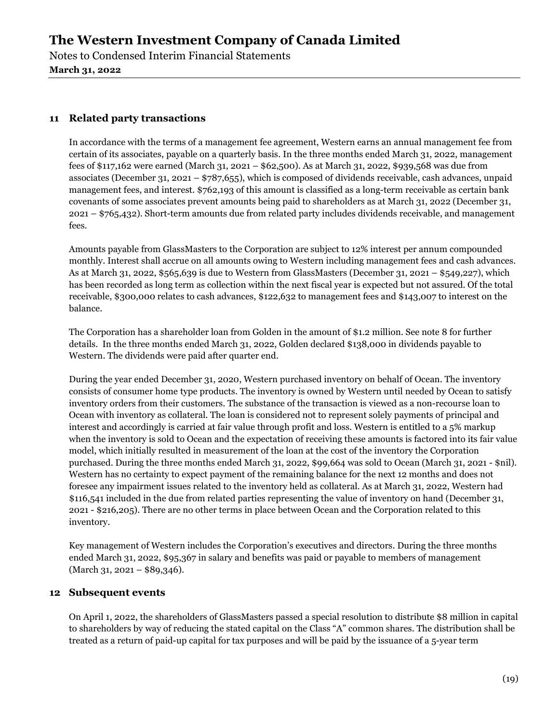Notes to Condensed Interim Financial Statements March 31, 2022

## 11 Related party transactions

In accordance with the terms of a management fee agreement, Western earns an annual management fee from certain of its associates, payable on a quarterly basis. In the three months ended March 31, 2022, management fees of \$117,162 were earned (March 31, 2021 – \$62,500). As at March 31, 2022, \$939,568 was due from associates (December 31, 2021 – \$787,655), which is composed of dividends receivable, cash advances, unpaid management fees, and interest. \$762,193 of this amount is classified as a long-term receivable as certain bank covenants of some associates prevent amounts being paid to shareholders as at March 31, 2022 (December 31, 2021 – \$765,432). Short-term amounts due from related party includes dividends receivable, and management fees.

Amounts payable from GlassMasters to the Corporation are subject to 12% interest per annum compounded monthly. Interest shall accrue on all amounts owing to Western including management fees and cash advances. As at March 31, 2022, \$565,639 is due to Western from GlassMasters (December 31, 2021 – \$549,227), which has been recorded as long term as collection within the next fiscal year is expected but not assured. Of the total receivable, \$300,000 relates to cash advances, \$122,632 to management fees and \$143,007 to interest on the balance.

The Corporation has a shareholder loan from Golden in the amount of \$1.2 million. See note 8 for further details. In the three months ended March 31, 2022, Golden declared \$138,000 in dividends payable to Western. The dividends were paid after quarter end.

During the year ended December 31, 2020, Western purchased inventory on behalf of Ocean. The inventory consists of consumer home type products. The inventory is owned by Western until needed by Ocean to satisfy inventory orders from their customers. The substance of the transaction is viewed as a non-recourse loan to Ocean with inventory as collateral. The loan is considered not to represent solely payments of principal and interest and accordingly is carried at fair value through profit and loss. Western is entitled to a 5% markup when the inventory is sold to Ocean and the expectation of receiving these amounts is factored into its fair value model, which initially resulted in measurement of the loan at the cost of the inventory the Corporation purchased. During the three months ended March 31, 2022, \$99,664 was sold to Ocean (March 31, 2021 - \$nil). Western has no certainty to expect payment of the remaining balance for the next 12 months and does not foresee any impairment issues related to the inventory held as collateral. As at March 31, 2022, Western had \$116,541 included in the due from related parties representing the value of inventory on hand (December 31, 2021 - \$216,205). There are no other terms in place between Ocean and the Corporation related to this inventory.

Key management of Western includes the Corporation's executives and directors. During the three months ended March 31, 2022, \$95,367 in salary and benefits was paid or payable to members of management (March 31, 2021 – \$89,346).

## 12 Subsequent events

On April 1, 2022, the shareholders of GlassMasters passed a special resolution to distribute \$8 million in capital to shareholders by way of reducing the stated capital on the Class "A" common shares. The distribution shall be treated as a return of paid-up capital for tax purposes and will be paid by the issuance of a 5-year term